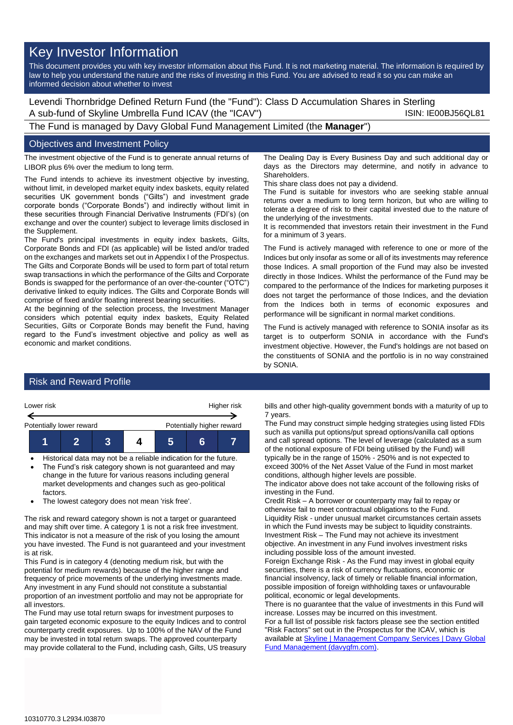# Key Investor Information

This document provides you with key investor information about this Fund. It is not marketing material. The information is required by law to help you understand the nature and the risks of investing in this Fund. You are advised to read it so you can make an informed decision about whether to invest

Levendi Thornbridge Defined Return Fund (the "Fund"): Class D Accumulation Shares in Sterling A sub-fund of Skyline Umbrella Fund ICAV (the "ICAV") Sub-fund iSIN: IE00BJ56QL81

The Fund is managed by Davy Global Fund Management Limited (the **Manager**")

### Objectives and Investment Policy

The investment objective of the Fund is to generate annual returns of LIBOR plus 6% over the medium to long term.

The Fund intends to achieve its investment objective by investing, without limit, in developed market equity index baskets, equity related securities UK government bonds ("Gilts") and investment grade corporate bonds ("Corporate Bonds") and indirectly without limit in these securities through Financial Derivative Instruments (FDI's) (on exchange and over the counter) subject to leverage limits disclosed in the Supplement.

The Fund's principal investments in equity index baskets, Gilts, Corporate Bonds and FDI (as applicable) will be listed and/or traded on the exchanges and markets set out in Appendix I of the Prospectus. The Gilts and Corporate Bonds will be used to form part of total return swap transactions in which the performance of the Gilts and Corporate Bonds is swapped for the performance of an over-the-counter ("OTC") derivative linked to equity indices. The Gilts and Corporate Bonds will comprise of fixed and/or floating interest bearing securities.

At the beginning of the selection process, the Investment Manager considers which potential equity index baskets, Equity Related Securities, Gilts or Corporate Bonds may benefit the Fund, having regard to the Fund's investment objective and policy as well as economic and market conditions.

The Dealing Day is Every Business Day and such additional day or days as the Directors may determine, and notify in advance to **Shareholders** 

This share class does not pay a dividend.

The Fund is suitable for investors who are seeking stable annual returns over a medium to long term horizon, but who are willing to tolerate a degree of risk to their capital invested due to the nature of the underlying of the investments.

It is recommended that investors retain their investment in the Fund for a minimum of 3 years.

The Fund is actively managed with reference to one or more of the Indices but only insofar as some or all of its investments may reference those Indices. A small proportion of the Fund may also be invested directly in those Indices. Whilst the performance of the Fund may be compared to the performance of the Indices for marketing purposes it does not target the performance of those Indices, and the deviation from the Indices both in terms of economic exposures and performance will be significant in normal market conditions.

The Fund is actively managed with reference to SONIA insofar as its target is to outperform SONIA in accordance with the Fund's investment objective. However, the Fund's holdings are not based on the constituents of SONIA and the portfolio is in no way constrained by SONIA.

## Risk and Reward Profile



- Historical data may not be a reliable indication for the future. The Fund's risk category shown is not guaranteed and may change in the future for various reasons including general market developments and changes such as geo-political
- factors. The lowest category does not mean 'risk free'.

The risk and reward category shown is not a target or guaranteed and may shift over time. A category 1 is not a risk free investment. This indicator is not a measure of the risk of you losing the amount you have invested. The Fund is not guaranteed and your investment is at risk.

This Fund is in category 4 (denoting medium risk, but with the potential for medium rewards) because of the higher range and frequency of price movements of the underlying investments made. Any investment in any Fund should not constitute a substantial proportion of an investment portfolio and may not be appropriate for all investors.

The Fund may use total return swaps for investment purposes to gain targeted economic exposure to the equity Indices and to control counterparty credit exposures. Up to 100% of the NAV of the Fund may be invested in total return swaps. The approved counterparty may provide collateral to the Fund, including cash, Gilts, US treasury

bills and other high-quality government bonds with a maturity of up to 7 years.

The Fund may construct simple hedging strategies using listed FDIs such as vanilla put options/put spread options/vanilla call options and call spread options. The level of leverage (calculated as a sum of the notional exposure of FDI being utilised by the Fund) will typically be in the range of 150% - 250% and is not expected to exceed 300% of the Net Asset Value of the Fund in most market conditions, although higher levels are possible.

The indicator above does not take account of the following risks of investing in the Fund.

Credit Risk – A borrower or counterparty may fail to repay or otherwise fail to meet contractual obligations to the Fund. Liquidity Risk - under unusual market circumstances certain assets in which the Fund invests may be subject to liquidity constraints. Investment Risk – The Fund may not achieve its investment objective. An investment in any Fund involves investment risks including possible loss of the amount invested.

Foreign Exchange Risk - As the Fund may invest in global equity securities, there is a risk of currency fluctuations, economic or financial insolvency, lack of timely or reliable financial information, possible imposition of foreign withholding taxes or unfavourable political, economic or legal developments.

There is no guarantee that the value of investments in this Fund will increase. Losses may be incurred on this investment.

For a full list of possible risk factors please see the section entitled "Risk Factors" set out in the Prospectus for the ICAV, which is available a[t Skyline | Management Company Services | Davy Global](https://www.davygfm.com/funds-factsheets/management-company-services/ireland/skyline.html)  [Fund Management \(davygfm.com\).](https://www.davygfm.com/funds-factsheets/management-company-services/ireland/skyline.html)